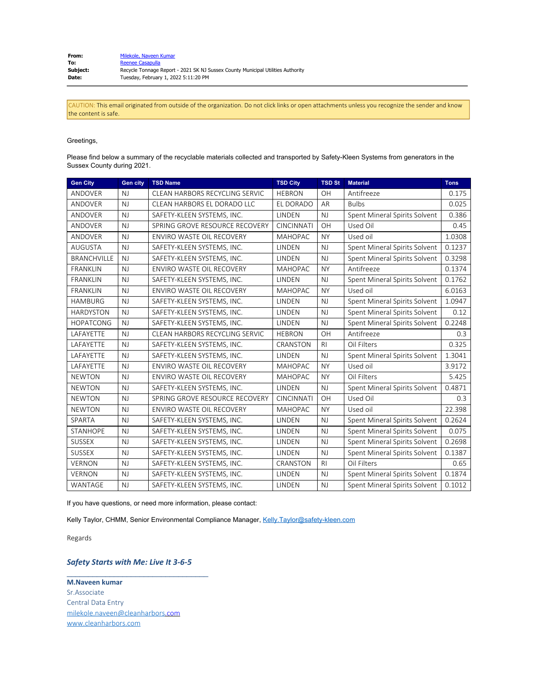| From:           | Milekole, Naveen Kumar                                                          |
|-----------------|---------------------------------------------------------------------------------|
| To:             | Reenee Casapulla                                                                |
| <b>Subject:</b> | Recycle Tonnage Report - 2021 SK NJ Sussex County Municipal Utilities Authority |
| Date:           | Tuesday, February 1, 2022 5:11:20 PM                                            |

CAUTION: This email originated from outside of the organization. Do not click links or open attachments unless you recognize the sender and know the content is safe.

## Greetings,

Please find below a summary of the recyclable materials collected and transported by Safety-Kleen Systems from generators in the Sussex County during 2021.

| <b>Gen City</b>    | <b>Gen city</b> | <b>TSD Name</b>                  | <b>TSD City</b>   | <b>TSD St</b>  | <b>Material</b>               | <b>Tons</b> |
|--------------------|-----------------|----------------------------------|-------------------|----------------|-------------------------------|-------------|
| <b>ANDOVER</b>     | NJ              | CLEAN HARBORS RECYCLING SERVIC   | <b>HEBRON</b>     | OH             | Antifreeze                    | 0.175       |
| ANDOVER            | NJ              | CLEAN HARBORS EL DORADO LLC      | EL DORADO         | AR             | <b>Bulbs</b>                  | 0.025       |
| <b>ANDOVER</b>     | NJ              | SAFETY-KLEEN SYSTEMS, INC.       | LINDEN            | NJ             | Spent Mineral Spirits Solvent | 0.386       |
| <b>ANDOVER</b>     | NJ              | SPRING GROVE RESOURCE RECOVERY   | <b>CINCINNATI</b> | OH             | Used Oil                      | 0.45        |
| <b>ANDOVER</b>     | NJ              | <b>ENVIRO WASTE OIL RECOVERY</b> | <b>MAHOPAC</b>    | <b>NY</b>      | Used oil                      | 1.0308      |
| <b>AUGUSTA</b>     | NJ              | SAFETY-KLEEN SYSTEMS, INC.       | LINDEN            | NJ             | Spent Mineral Spirits Solvent | 0.1237      |
| <b>BRANCHVILLE</b> | NJ              | SAFETY-KLEEN SYSTEMS, INC.       | LINDEN            | NJ             | Spent Mineral Spirits Solvent | 0.3298      |
| <b>FRANKLIN</b>    | NJ              | <b>ENVIRO WASTE OIL RECOVERY</b> | <b>MAHOPAC</b>    | <b>NY</b>      | Antifreeze                    | 0.1374      |
| <b>FRANKLIN</b>    | NJ              | SAFETY-KLEEN SYSTEMS, INC.       | LINDEN            | NJ             | Spent Mineral Spirits Solvent | 0.1762      |
| <b>FRANKLIN</b>    | NJ              | ENVIRO WASTE OIL RECOVERY        | <b>MAHOPAC</b>    | <b>NY</b>      | Used oil                      | 6.0163      |
| <b>HAMBURG</b>     | <b>NJ</b>       | SAFETY-KLEEN SYSTEMS, INC.       | LINDEN            | NJ             | Spent Mineral Spirits Solvent | 1.0947      |
| <b>HARDYSTON</b>   | NJ              | SAFETY-KLEEN SYSTEMS, INC.       | LINDEN            | <b>NJ</b>      | Spent Mineral Spirits Solvent | 0.12        |
| <b>HOPATCONG</b>   | N <sub>J</sub>  | SAFETY-KLEEN SYSTEMS, INC.       | <b>LINDEN</b>     | NJ             | Spent Mineral Spirits Solvent | 0.2248      |
| LAFAYETTE          | $N_{\rm J}$     | CLEAN HARBORS RECYCLING SERVIC   | <b>HEBRON</b>     | OH             | Antifreeze                    | 0.3         |
| LAFAYETTE          | NJ              | SAFETY-KLEEN SYSTEMS, INC.       | CRANSTON          | R <sub>l</sub> | Oil Filters                   | 0.325       |
| LAFAYETTE          | NJ              | SAFETY-KLEEN SYSTEMS, INC.       | LINDEN            | NJ             | Spent Mineral Spirits Solvent | 1.3041      |
| LAFAYETTE          | NJ              | ENVIRO WASTE OIL RECOVERY        | <b>MAHOPAC</b>    | <b>NY</b>      | Used oil                      | 3.9172      |
| <b>NEWTON</b>      | NJ              | ENVIRO WASTE OIL RECOVERY        | <b>MAHOPAC</b>    | <b>NY</b>      | Oil Filters                   | 5.425       |
| <b>NEWTON</b>      | NJ              | SAFETY-KLEEN SYSTEMS, INC.       | LINDEN            | NJ             | Spent Mineral Spirits Solvent | 0.4871      |
| <b>NEWTON</b>      | NJ              | SPRING GROVE RESOURCE RECOVERY   | <b>CINCINNATI</b> | OH             | Used Oil                      | 0.3         |
| <b>NEWTON</b>      | NJ              | ENVIRO WASTE OIL RECOVERY        | <b>MAHOPAC</b>    | <b>NY</b>      | Used oil                      | 22.398      |
| SPARTA             | NJ              | SAFETY-KLEEN SYSTEMS, INC.       | LINDEN            | NJ             | Spent Mineral Spirits Solvent | 0.2624      |
| <b>STANHOPE</b>    | NJ              | SAFETY-KLEEN SYSTEMS, INC.       | LINDEN            | <b>NJ</b>      | Spent Mineral Spirits Solvent | 0.075       |
| <b>SUSSEX</b>      | NJ              | SAFETY-KLEEN SYSTEMS, INC.       | LINDEN            | NJ             | Spent Mineral Spirits Solvent | 0.2698      |
| <b>SUSSEX</b>      | NJ              | SAFETY-KLEEN SYSTEMS, INC.       | LINDEN            | NJ             | Spent Mineral Spirits Solvent | 0.1387      |
| <b>VERNON</b>      | NJ              | SAFETY-KLEEN SYSTEMS, INC.       | CRANSTON          | R <sub>l</sub> | Oil Filters                   | 0.65        |
| <b>VERNON</b>      | NJ              | SAFETY-KLEEN SYSTEMS, INC.       | LINDEN            | NJ             | Spent Mineral Spirits Solvent | 0.1874      |
| WANTAGE            | NJ              | SAFETY-KLEEN SYSTEMS, INC.       | LINDEN            | NJ             | Spent Mineral Spirits Solvent | 0.1012      |

If you have questions, or need more information, please contact:

Kelly Taylor, CHMM, Senior Environmental Compliance Manager, Kelly Taylor@safety-kleen.com

Regards

## *Safety Starts with Me: Live It 3-6-5*

\_\_\_\_\_\_\_\_\_\_\_\_\_\_\_\_\_\_\_\_\_\_\_\_\_\_\_\_\_\_\_\_\_

**M.Naveen kumar** Sr.Associate Central Data Entry [milekole.naveen@cleanharbors](mailto:milekole.naveen@cleanharbors).com [www.cleanharbors.com](http://www.cleanharbors.com/)